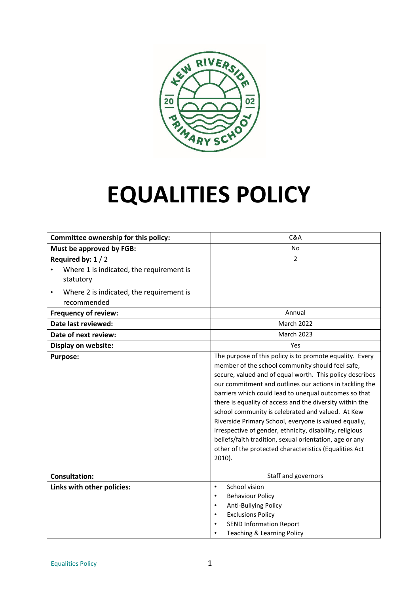

# **EQUALITIES POLICY**

| Committee ownership for this policy:                                        | C&A                                                                                                                                                                                                                                                                                                                                                                                                                                                                                                                                                                                                                                                                  |
|-----------------------------------------------------------------------------|----------------------------------------------------------------------------------------------------------------------------------------------------------------------------------------------------------------------------------------------------------------------------------------------------------------------------------------------------------------------------------------------------------------------------------------------------------------------------------------------------------------------------------------------------------------------------------------------------------------------------------------------------------------------|
| Must be approved by FGB:                                                    | <b>No</b>                                                                                                                                                                                                                                                                                                                                                                                                                                                                                                                                                                                                                                                            |
| Required by: $1/2$<br>Where 1 is indicated, the requirement is<br>statutory | $\overline{2}$                                                                                                                                                                                                                                                                                                                                                                                                                                                                                                                                                                                                                                                       |
| Where 2 is indicated, the requirement is<br>$\bullet$<br>recommended        |                                                                                                                                                                                                                                                                                                                                                                                                                                                                                                                                                                                                                                                                      |
| <b>Frequency of review:</b>                                                 | Annual                                                                                                                                                                                                                                                                                                                                                                                                                                                                                                                                                                                                                                                               |
| Date last reviewed:                                                         | <b>March 2022</b>                                                                                                                                                                                                                                                                                                                                                                                                                                                                                                                                                                                                                                                    |
| Date of next review:                                                        | <b>March 2023</b>                                                                                                                                                                                                                                                                                                                                                                                                                                                                                                                                                                                                                                                    |
| Display on website:                                                         | Yes                                                                                                                                                                                                                                                                                                                                                                                                                                                                                                                                                                                                                                                                  |
| <b>Purpose:</b>                                                             | The purpose of this policy is to promote equality. Every<br>member of the school community should feel safe,<br>secure, valued and of equal worth. This policy describes<br>our commitment and outlines our actions in tackling the<br>barriers which could lead to unequal outcomes so that<br>there is equality of access and the diversity within the<br>school community is celebrated and valued. At Kew<br>Riverside Primary School, everyone is valued equally,<br>irrespective of gender, ethnicity, disability, religious<br>beliefs/faith tradition, sexual orientation, age or any<br>other of the protected characteristics (Equalities Act<br>$2010$ ). |
| <b>Consultation:</b>                                                        | Staff and governors                                                                                                                                                                                                                                                                                                                                                                                                                                                                                                                                                                                                                                                  |
| Links with other policies:                                                  | School vision<br>$\bullet$<br><b>Behaviour Policy</b><br>$\bullet$<br>Anti-Bullying Policy<br>$\bullet$<br><b>Exclusions Policy</b><br>$\bullet$<br><b>SEND Information Report</b><br>Teaching & Learning Policy                                                                                                                                                                                                                                                                                                                                                                                                                                                     |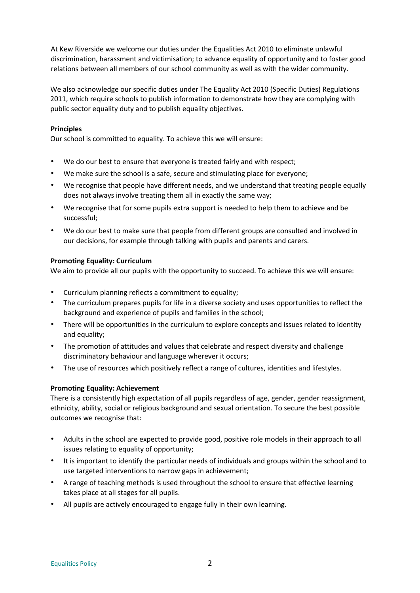At Kew Riverside we welcome our duties under the Equalities Act 2010 to eliminate unlawful discrimination, harassment and victimisation; to advance equality of opportunity and to foster good relations between all members of our school community as well as with the wider community.

We also acknowledge our specific duties under The Equality Act 2010 (Specific Duties) Regulations 2011, which require schools to publish information to demonstrate how they are complying with public sector equality duty and to publish equality objectives.

## **Principles**

Our school is committed to equality. To achieve this we will ensure:

- We do our best to ensure that everyone is treated fairly and with respect;
- We make sure the school is a safe, secure and stimulating place for everyone;
- We recognise that people have different needs, and we understand that treating people equally does not always involve treating them all in exactly the same way;
- We recognise that for some pupils extra support is needed to help them to achieve and be successful;
- We do our best to make sure that people from different groups are consulted and involved in our decisions, for example through talking with pupils and parents and carers.

## **Promoting Equality: Curriculum**

We aim to provide all our pupils with the opportunity to succeed. To achieve this we will ensure:

- Curriculum planning reflects a commitment to equality;
- The curriculum prepares pupils for life in a diverse society and uses opportunities to reflect the background and experience of pupils and families in the school;
- There will be opportunities in the curriculum to explore concepts and issues related to identity and equality;
- The promotion of attitudes and values that celebrate and respect diversity and challenge discriminatory behaviour and language wherever it occurs;
- The use of resources which positively reflect a range of cultures, identities and lifestyles.

## **Promoting Equality: Achievement**

There is a consistently high expectation of all pupils regardless of age, gender, gender reassignment, ethnicity, ability, social or religious background and sexual orientation. To secure the best possible outcomes we recognise that:

- Adults in the school are expected to provide good, positive role models in their approach to all issues relating to equality of opportunity;
- It is important to identify the particular needs of individuals and groups within the school and to use targeted interventions to narrow gaps in achievement;
- A range of teaching methods is used throughout the school to ensure that effective learning takes place at all stages for all pupils.
- All pupils are actively encouraged to engage fully in their own learning.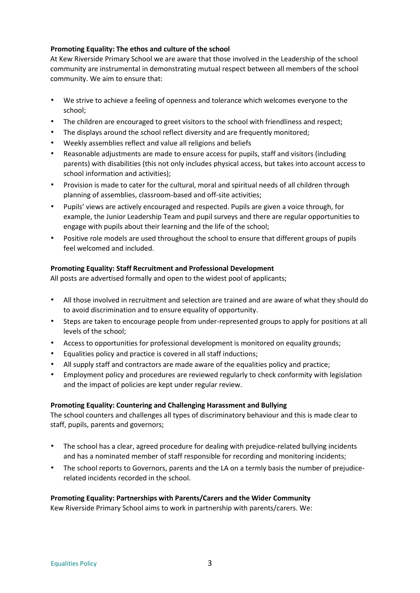## **Promoting Equality: The ethos and culture of the school**

At Kew Riverside Primary School we are aware that those involved in the Leadership of the school community are instrumental in demonstrating mutual respect between all members of the school community. We aim to ensure that:

- We strive to achieve a feeling of openness and tolerance which welcomes everyone to the school;
- The children are encouraged to greet visitors to the school with friendliness and respect;
- The displays around the school reflect diversity and are frequently monitored;
- Weekly assemblies reflect and value all religions and beliefs
- Reasonable adjustments are made to ensure access for pupils, staff and visitors (including parents) with disabilities (this not only includes physical access, but takes into account access to school information and activities);
- Provision is made to cater for the cultural, moral and spiritual needs of all children through planning of assemblies, classroom-based and off-site activities;
- Pupils' views are actively encouraged and respected. Pupils are given a voice through, for example, the Junior Leadership Team and pupil surveys and there are regular opportunities to engage with pupils about their learning and the life of the school;
- Positive role models are used throughout the school to ensure that different groups of pupils feel welcomed and included.

## **Promoting Equality: Staff Recruitment and Professional Development**

All posts are advertised formally and open to the widest pool of applicants;

- All those involved in recruitment and selection are trained and are aware of what they should do to avoid discrimination and to ensure equality of opportunity.
- Steps are taken to encourage people from under-represented groups to apply for positions at all levels of the school;
- Access to opportunities for professional development is monitored on equality grounds;
- Equalities policy and practice is covered in all staff inductions;
- All supply staff and contractors are made aware of the equalities policy and practice;
- Employment policy and procedures are reviewed regularly to check conformity with legislation and the impact of policies are kept under regular review.

### **Promoting Equality: Countering and Challenging Harassment and Bullying**

The school counters and challenges all types of discriminatory behaviour and this is made clear to staff, pupils, parents and governors;

- The school has a clear, agreed procedure for dealing with prejudice-related bullying incidents and has a nominated member of staff responsible for recording and monitoring incidents;
- The school reports to Governors, parents and the LA on a termly basis the number of prejudicerelated incidents recorded in the school.

## **Promoting Equality: Partnerships with Parents/Carers and the Wider Community**

Kew Riverside Primary School aims to work in partnership with parents/carers. We: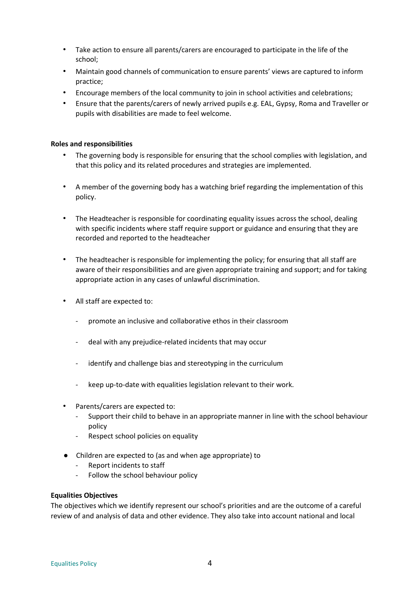- Take action to ensure all parents/carers are encouraged to participate in the life of the school;
- Maintain good channels of communication to ensure parents' views are captured to inform practice;
- Encourage members of the local community to join in school activities and celebrations;
- Ensure that the parents/carers of newly arrived pupils e.g. EAL, Gypsy, Roma and Traveller or pupils with disabilities are made to feel welcome.

#### **Roles and responsibilities**

- The governing body is responsible for ensuring that the school complies with legislation, and that this policy and its related procedures and strategies are implemented.
- A member of the governing body has a watching brief regarding the implementation of this policy.
- The Headteacher is responsible for coordinating equality issues across the school, dealing with specific incidents where staff require support or guidance and ensuring that they are recorded and reported to the headteacher
- The headteacher is responsible for implementing the policy; for ensuring that all staff are aware of their responsibilities and are given appropriate training and support; and for taking appropriate action in any cases of unlawful discrimination.
- All staff are expected to:
	- promote an inclusive and collaborative ethos in their classroom
	- deal with any prejudice-related incidents that may occur
	- identify and challenge bias and stereotyping in the curriculum
	- keep up-to-date with equalities legislation relevant to their work.
- Parents/carers are expected to:
	- Support their child to behave in an appropriate manner in line with the school behaviour policy
	- Respect school policies on equality
- Children are expected to (as and when age appropriate) to
	- Report incidents to staff
	- Follow the school behaviour policy

#### **Equalities Objectives**

The objectives which we identify represent our school's priorities and are the outcome of a careful review of and analysis of data and other evidence. They also take into account national and local